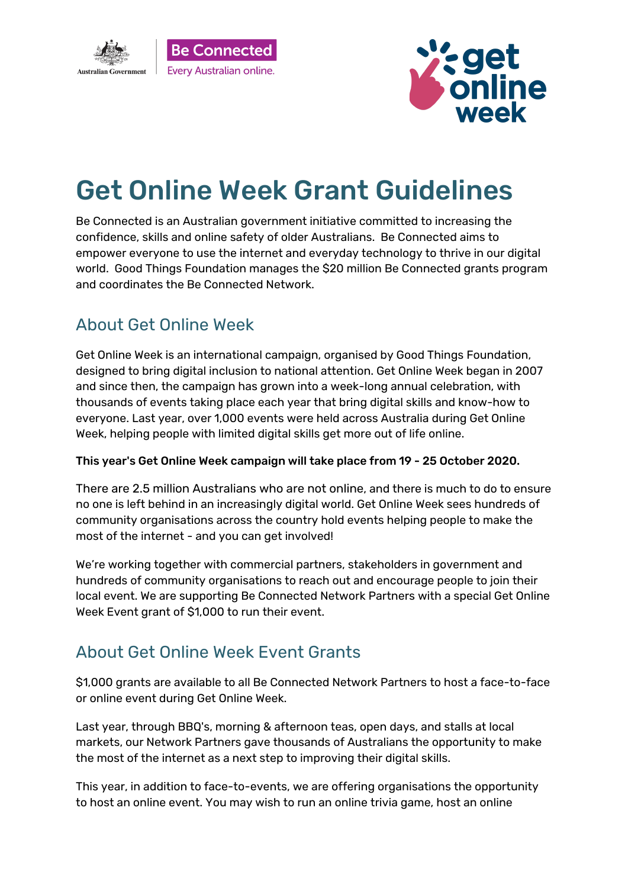



## Get Online Week Grant Guidelines

Be Connected is an Australian government initiative committed to increasing the confidence, skills and online safety of older Australians. Be Connected aims to empower everyone to use the internet and everyday technology to thrive in our digital world. Good Things Foundation manages the \$20 million Be Connected grants program and coordinates the Be Connected Network.

#### About Get Online Week

Get Online Week is an international campaign, organised by Good Things Foundation, designed to bring digital inclusion to national attention. Get Online Week began in 2007 and since then, the campaign has grown into a week-long annual celebration, with thousands of events taking place each year that bring digital skills and know-how to everyone. Last year, over 1,000 events were held across Australia during Get Online Week, helping people with limited digital skills get more out of life online.

#### This year's Get Online Week campaign will take place from 19 - 25 October 2020.

There are 2.5 million Australians who are not online, and there is much to do to ensure no one is left behind in an increasingly digital world. Get Online Week sees hundreds of community organisations across the country hold events helping people to make the most of the internet - and you can get involved!

We're working together with commercial partners, stakeholders in government and hundreds of community organisations to reach out and encourage people to join their local event. We are supporting Be Connected Network Partners with a special Get Online Week Event grant of \$1,000 to run their event.

#### About Get Online Week Event Grants

\$1,000 grants are available to all Be Connected Network Partners to host a face-to-face or online event during Get Online Week.

Last year, through BBQ's, morning & afternoon teas, open days, and stalls at local markets, our Network Partners gave thousands of Australians the opportunity to make the most of the internet as a next step to improving their digital skills.

This year, in addition to face-to-events, we are offering organisations the opportunity to host an online event. You may wish to run an online trivia game, host an online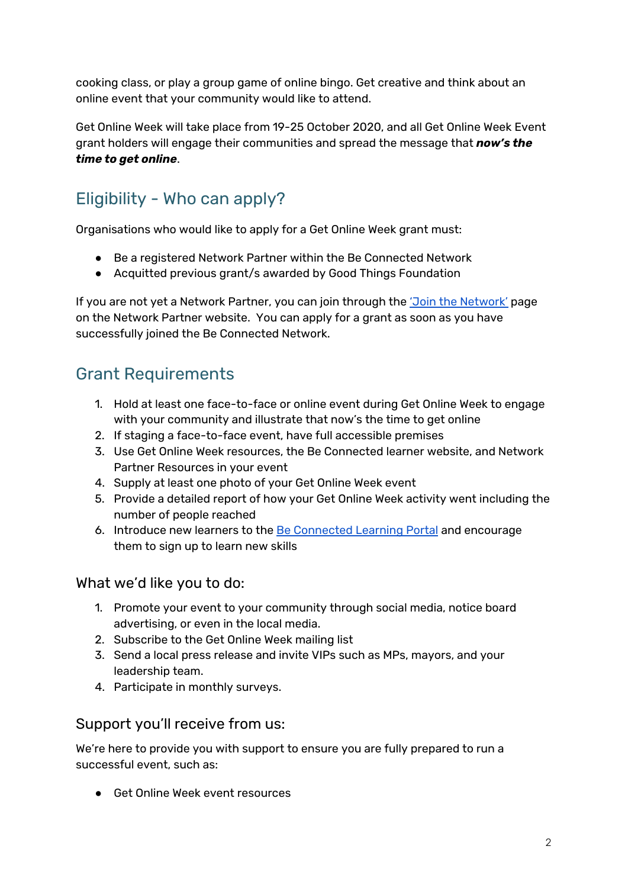cooking class, or play a group game of online bingo. Get creative and think about an online event that your community would like to attend.

Get Online Week will take place from 19-25 October 2020, and all Get Online Week Event grant holders will engage their communities and spread the message that *now's the time to get online*.

## Eligibility - Who can apply?

Organisations who would like to apply for a Get Online Week grant must:

- Be a registered Network Partner within the Be Connected Network
- Acquitted previous grant/s awarded by Good Things Foundation

If you are not yet a Network Partner, you can join through the 'Join the [Network'](https://www.beconnectednetwork.org.au/join-the-network-step-1) page on the Network Partner website. You can apply for a grant as soon as you have successfully joined the Be Connected Network.

#### Grant Requirements

- 1. Hold at least one face-to-face or online event during Get Online Week to engage with your community and illustrate that now's the time to get online
- 2. If staging a face-to-face event, have full accessible premises
- 3. Use Get Online Week resources, the Be Connected learner website, and Network Partner Resources in your event
- 4. Supply at least one photo of your Get Online Week event
- 5. Provide a detailed report of how your Get Online Week activity went including the number of people reached
- 6. Introduce new learners to the Be [Connected](https://beconnected.esafety.gov.au/) Learning Portal and encourage them to sign up to learn new skills

#### What we'd like you to do:

- 1. Promote your event to your community through social media, notice board advertising, or even in the local media.
- 2. Subscribe to the Get Online Week mailing list
- 3. Send a local press release and invite VIPs such as MPs, mayors, and your leadership team.
- 4. Participate in monthly surveys.

#### Support you'll receive from us:

We're here to provide you with support to ensure you are fully prepared to run a successful event, such as:

● Get Online Week event resources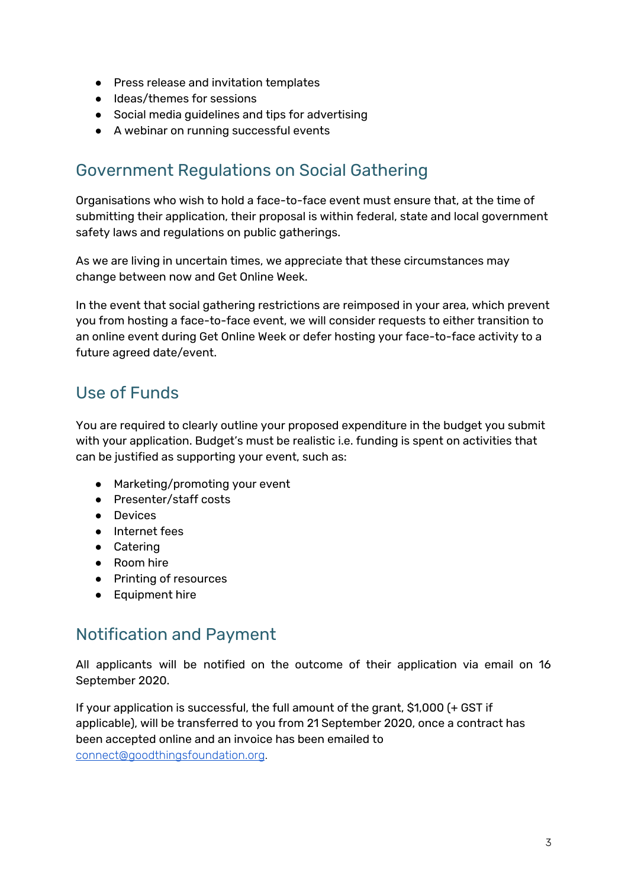- Press release and invitation templates
- Ideas/themes for sessions
- Social media guidelines and tips for advertising
- A webinar on running successful events

#### Government Regulations on Social Gathering

Organisations who wish to hold a face-to-face event must ensure that, at the time of submitting their application, their proposal is within federal, state and local government safety laws and regulations on public gatherings.

As we are living in uncertain times, we appreciate that these circumstances may change between now and Get Online Week.

In the event that social gathering restrictions are reimposed in your area, which prevent you from hosting a face-to-face event, we will consider requests to either transition to an online event during Get Online Week or defer hosting your face-to-face activity to a future agreed date/event.

## Use of Funds

You are required to clearly outline your proposed expenditure in the budget you submit with your application. Budget's must be realistic i.e. funding is spent on activities that can be justified as supporting your event, such as:

- Marketing/promoting your event
- Presenter/staff costs
- Devices
- Internet fees
- Catering
- Room hire
- Printing of resources
- Equipment hire

#### Notification and Payment

All applicants will be notified on the outcome of their application via email on 16 September 2020.

If your application is successful, the full amount of the grant, \$1,000 (+ GST if applicable), will be transferred to you from 21 September 2020, once a contract has been accepted online and an invoice has been emailed to [connect@goodthingsfoundation.org](mailto:connect@goodthingsfoundation.org).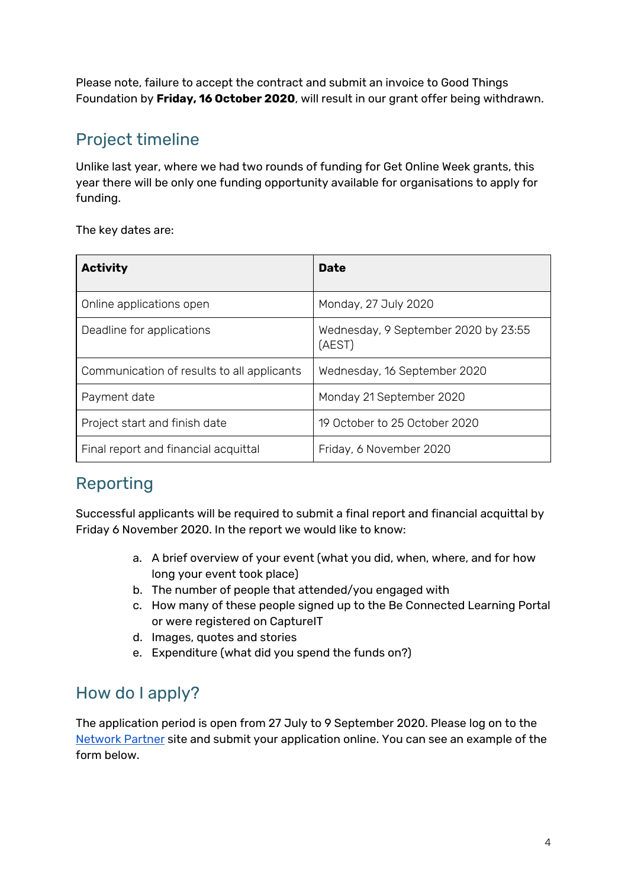Please note, failure to accept the contract and submit an invoice to Good Things Foundation by **Friday, 16 October 2020**, will result in our grant offer being withdrawn.

### Project timeline

Unlike last year, where we had two rounds of funding for Get Online Week grants, this year there will be only one funding opportunity available for organisations to apply for funding.

The key dates are:

| <b>Activity</b>                            | <b>Date</b>                                    |
|--------------------------------------------|------------------------------------------------|
| Online applications open                   | Monday, 27 July 2020                           |
| Deadline for applications                  | Wednesday, 9 September 2020 by 23:55<br>(AEST) |
| Communication of results to all applicants | Wednesday, 16 September 2020                   |
| Payment date                               | Monday 21 September 2020                       |
| Project start and finish date              | 19 October to 25 October 2020                  |
| Final report and financial acquittal       | Friday, 6 November 2020                        |

## Reporting

Successful applicants will be required to submit a final report and financial acquittal by Friday 6 November 2020. In the report we would like to know:

- a. A brief overview of your event (what you did, when, where, and for how long your event took place)
- b. The number of people that attended/you engaged with
- c. How many of these people signed up to the Be Connected Learning Portal or were registered on CaptureIT
- d. Images, quotes and stories
- e. Expenditure (what did you spend the funds on?)

#### How do I apply?

The application period is open from 27 July to 9 September 2020. Please log on to the [Network](https://www.beconnectednetwork.org.au/grant-program) Partner site and submit your application online. You can see an example of the form below.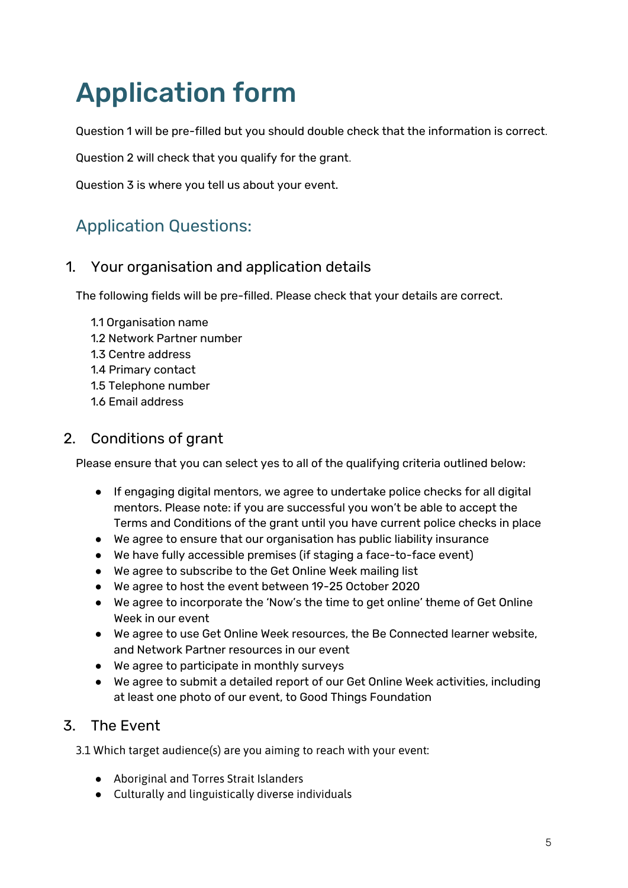# Application form

Question 1 will be pre-filled but you should double check that the information is correct.

Question 2 will check that you qualify for the grant.

Question 3 is where you tell us about your event.

## Application Questions:

#### 1. Your organisation and application details

The following fields will be pre-filled. Please check that your details are correct.

- 1.1 Organisation name
- 1.2 Network Partner number
- 1.3 Centre address
- 1.4 Primary contact
- 1.5 Telephone number
- 1.6 Email address

#### 2. Conditions of grant

Please ensure that you can select yes to all of the qualifying criteria outlined below:

- If engaging digital mentors, we agree to undertake police checks for all digital mentors. Please note: if you are successful you won't be able to accept the Terms and Conditions of the grant until you have current police checks in place
- We agree to ensure that our organisation has public liability insurance
- We have fully accessible premises (if staging a face-to-face event)
- We agree to subscribe to the Get Online Week mailing list
- We agree to host the event between 19-25 October 2020
- We agree to incorporate the 'Now's the time to get online' theme of Get Online Week in our event
- We agree to use Get Online Week resources, the Be Connected learner website, and Network Partner resources in our event
- We agree to participate in monthly surveys
- We agree to submit a detailed report of our Get Online Week activities, including at least one photo of our event, to Good Things Foundation

#### 3. The Event

3.1 Which target audience(s) are you aiming to reach with your event:

- Aboriginal and Torres Strait Islanders
- Culturally and linguistically diverse individuals